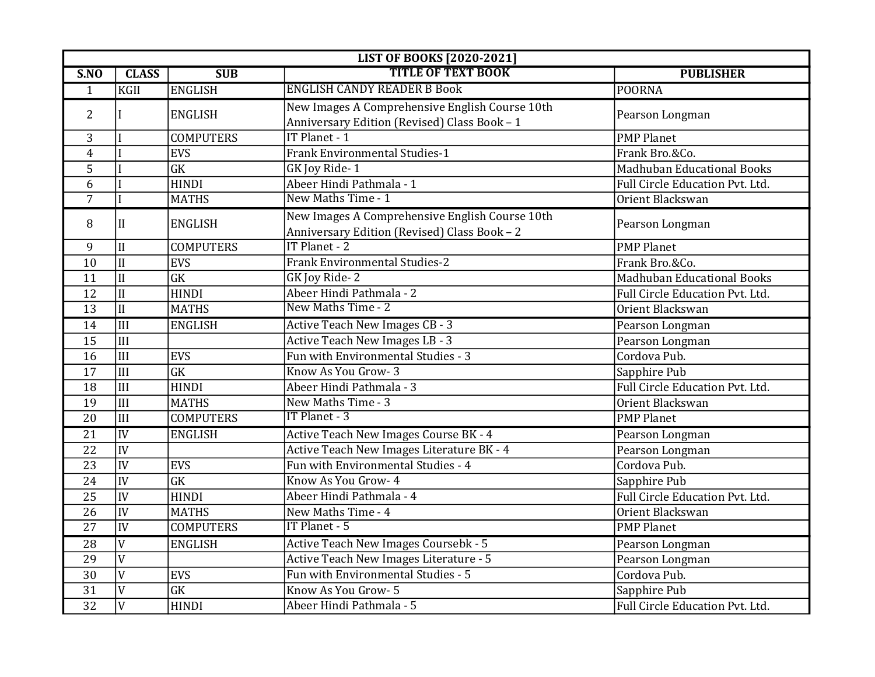| <b>LIST OF BOOKS [2020-2021]</b> |                           |                        |                                                                                                |                                   |
|----------------------------------|---------------------------|------------------------|------------------------------------------------------------------------------------------------|-----------------------------------|
| SNO                              | <b>CLASS</b>              | SUB                    | <b>TITLE OF TEXT BOOK</b>                                                                      | <b>PUBLISHER</b>                  |
| $\mathbf{1}$                     | KGII                      | ENGLISH                | <b>ENGLISH CANDY READER B Book</b>                                                             | POORNA                            |
| 2                                |                           | <b>ENGLISH</b>         | New Images A Comprehensive English Course 10th<br>Anniversary Edition (Revised) Class Book - 1 | Pearson Longman                   |
| 3                                |                           | <b>COMPUTERS</b>       | IT Planet - 1                                                                                  | <b>PMP Planet</b>                 |
| $\overline{4}$                   |                           | <b>EVS</b>             | <b>Frank Environmental Studies-1</b>                                                           | Frank Bro.&Co.                    |
| 5                                |                           | $\overline{\text{GK}}$ | GK Joy Ride-1                                                                                  | <b>Madhuban Educational Books</b> |
| 6                                |                           | <b>HINDI</b>           | Abeer Hindi Pathmala - 1                                                                       | Full Circle Education Pvt. Ltd.   |
| $\overline{7}$                   |                           | <b>MATHS</b>           | New Maths Time - 1                                                                             | Orient Blackswan                  |
| 8                                | II                        | <b>ENGLISH</b>         | New Images A Comprehensive English Course 10th<br>Anniversary Edition (Revised) Class Book - 2 | Pearson Longman                   |
| 9                                | II                        | <b>COMPUTERS</b>       | IT Planet - 2                                                                                  | <b>PMP Planet</b>                 |
| 10                               | II                        | <b>EVS</b>             | <b>Frank Environmental Studies-2</b>                                                           | Frank Bro.&Co.                    |
| 11                               | $\overline{\text{II}}$    | GK                     | GK Joy Ride-2                                                                                  | <b>Madhuban Educational Books</b> |
| 12                               | II                        | <b>HINDI</b>           | Abeer Hindi Pathmala - 2                                                                       | Full Circle Education Pvt. Ltd.   |
| $\overline{13}$                  | $\overline{\text{II}}$    | <b>MATHS</b>           | New Maths Time - 2                                                                             | Orient Blackswan                  |
| 14                               | $\overline{\text{III}}$   | <b>ENGLISH</b>         | <b>Active Teach New Images CB - 3</b>                                                          | Pearson Longman                   |
| 15                               | III                       |                        | Active Teach New Images LB - 3                                                                 | Pearson Longman                   |
| 16                               | $\overline{\mathbf{III}}$ | EVS                    | Fun with Environmental Studies - 3                                                             | Cordova Pub.                      |
| 17                               | $\overline{\mathbf{III}}$ | $\overline{\text{GK}}$ | Know As You Grow-3                                                                             | Sapphire Pub                      |
| 18                               | $\overline{\mathbf{III}}$ | <b>HINDI</b>           | Abeer Hindi Pathmala - 3                                                                       | Full Circle Education Pvt. Ltd.   |
| 19                               | $\overline{\text{III}}$   | <b>MATHS</b>           | New Maths Time - 3                                                                             | Orient Blackswan                  |
| 20                               | III                       | <b>COMPUTERS</b>       | IT Planet - 3                                                                                  | <b>PMP Planet</b>                 |
| $\overline{21}$                  | IV                        | <b>ENGLISH</b>         | Active Teach New Images Course BK - 4                                                          | Pearson Longman                   |
| 22                               | IV                        |                        | Active Teach New Images Literature BK - 4                                                      | Pearson Longman                   |
| $\overline{23}$                  | IV                        | <b>EVS</b>             | Fun with Environmental Studies - 4                                                             | Cordova Pub.                      |
| 24                               | IV                        | GK                     | Know As You Grow- 4                                                                            | Sapphire Pub                      |
| $\overline{25}$                  | IV                        | <b>HINDI</b>           | Abeer Hindi Pathmala - 4                                                                       | Full Circle Education Pvt. Ltd.   |
| 26                               | IV                        | <b>MATHS</b>           | New Maths Time - 4                                                                             | Orient Blackswan                  |
| $\overline{27}$                  | IV                        | <b>COMPUTERS</b>       | <b>IT Planet - 5</b>                                                                           | <b>PMP Planet</b>                 |
| $\overline{28}$                  | $\overline{V}$            | <b>ENGLISH</b>         | Active Teach New Images Coursebk - 5                                                           | Pearson Longman                   |
| 29                               | $\overline{V}$            |                        | Active Teach New Images Literature - 5                                                         | Pearson Longman                   |
| 30                               | $\overline{V}$            | EVS                    | Fun with Environmental Studies - 5                                                             | Cordova Pub.                      |
| 31                               | $\overline{V}$            | GK                     | Know As You Grow- 5                                                                            | Sapphire Pub                      |
| $\overline{32}$                  | $\overline{V}$            | <b>HINDI</b>           | Abeer Hindi Pathmala - 5                                                                       | Full Circle Education Pvt. Ltd.   |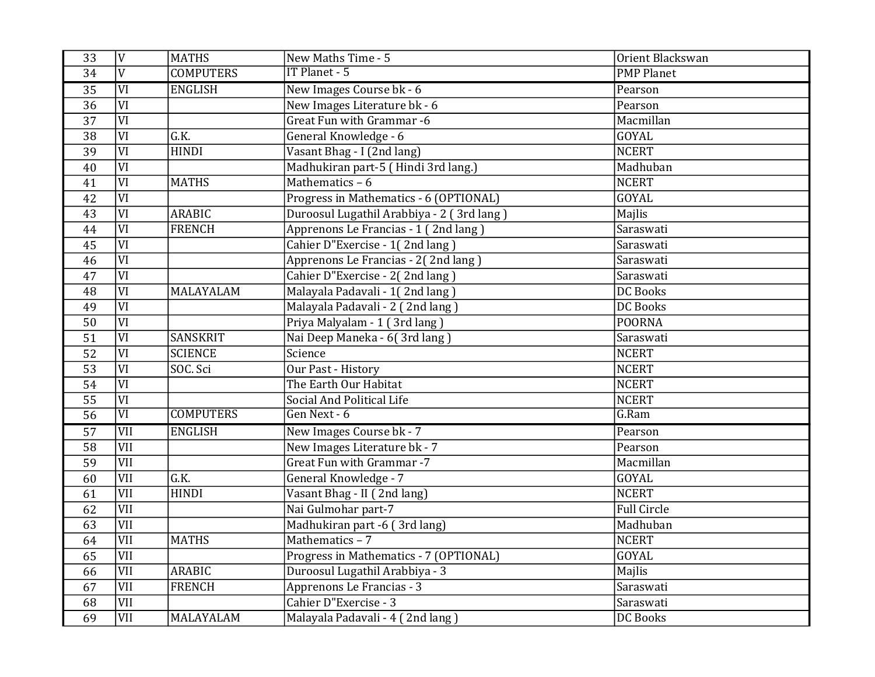| 33              | $\overline{V}$         | <b>MATHS</b>     | New Maths Time - 5                        | Orient Blackswan   |
|-----------------|------------------------|------------------|-------------------------------------------|--------------------|
| 34              | $\overline{V}$         | <b>COMPUTERS</b> | IT Planet - 5                             | <b>PMP Planet</b>  |
| $\overline{35}$ | VI                     | <b>ENGLISH</b>   | New Images Course bk - 6                  | Pearson            |
| $\overline{36}$ | $\overline{\text{VI}}$ |                  | New Images Literature bk - 6              | Pearson            |
| 37              | $\overline{\text{VI}}$ |                  | Great Fun with Grammar -6                 | Macmillan          |
| $\overline{38}$ | $\overline{\text{VI}}$ | G.K.             | General Knowledge - 6                     | <b>GOYAL</b>       |
| 39              | VI                     | <b>HINDI</b>     | Vasant Bhag - I (2nd lang)                | <b>NCERT</b>       |
| 40              | $\overline{\text{VI}}$ |                  | Madhukiran part-5 (Hindi 3rd lang.)       | Madhuban           |
| 41              | VI                     | <b>MATHS</b>     | Mathematics $-6$                          | <b>NCERT</b>       |
| $\overline{42}$ | $\overline{\text{VI}}$ |                  | Progress in Mathematics - 6 (OPTIONAL)    | <b>GOYAL</b>       |
| 43              | $\overline{\text{VI}}$ | <b>ARABIC</b>    | Duroosul Lugathil Arabbiya - 2 (3rd lang) | Majlis             |
| 44              | $\overline{\text{VI}}$ | <b>FRENCH</b>    | Apprenons Le Francias - 1 (2nd lang)      | Saraswati          |
| $\overline{45}$ | $\overline{\text{VI}}$ |                  | Cahier D"Exercise - 1(2nd lang)           | Saraswati          |
| 46              | $\overline{\text{VI}}$ |                  | Apprenons Le Francias - 2(2nd lang)       | Saraswati          |
| 47              | $\overline{VI}$        |                  | Cahier D"Exercise - 2(2nd lang)           | Saraswati          |
| 48              | VI                     | MALAYALAM        | Malayala Padavali - 1(2nd lang)           | <b>DC Books</b>    |
| 49              | VI                     |                  | Malayala Padavali - 2 (2nd lang)          | <b>DC</b> Books    |
| 50              | VI                     |                  | Priya Malyalam - 1 (3rd lang)             | <b>POORNA</b>      |
| 51              | VI                     | <b>SANSKRIT</b>  | Nai Deep Maneka - 6(3rd lang)             | Saraswati          |
| 52              | VI                     | <b>SCIENCE</b>   | Science                                   | <b>NCERT</b>       |
| 53              | $\overline{\text{VI}}$ | SOC. Sci         | <b>Our Past - History</b>                 | <b>NCERT</b>       |
| 54              | $\overline{\text{VI}}$ |                  | The Earth Our Habitat                     | <b>NCERT</b>       |
| 55              | VI                     |                  | Social And Political Life                 | <b>NCERT</b>       |
| $\overline{56}$ | $\overline{VI}$        | <b>COMPUTERS</b> | Gen Next - 6                              | G.Ram              |
| 57              | <b>VII</b>             | <b>ENGLISH</b>   | New Images Course bk - 7                  | Pearson            |
| 58              | VII                    |                  | New Images Literature bk - 7              | Pearson            |
| 59              | <b>VII</b>             |                  | <b>Great Fun with Grammar -7</b>          | Macmillan          |
| 60              | VII                    | G.K.             | General Knowledge - 7                     | GOYAL              |
| 61              | VII                    | <b>HINDI</b>     | Vasant Bhag - II (2nd lang)               | <b>NCERT</b>       |
| 62              | VII                    |                  | Nai Gulmohar part-7                       | <b>Full Circle</b> |
| 63              | VII                    |                  | Madhukiran part -6 (3rd lang)             | Madhuban           |
| 64              | VII                    | <b>MATHS</b>     | Mathematics $-7$                          | <b>NCERT</b>       |
| 65              | VII                    |                  | Progress in Mathematics - 7 (OPTIONAL)    | GOYAL              |
| 66              | VII                    | <b>ARABIC</b>    | Duroosul Lugathil Arabbiya - 3            | Majlis             |
| 67              | <b>VII</b>             | <b>FRENCH</b>    | Apprenons Le Francias - 3                 | Saraswati          |
| 68              | VII                    |                  | Cahier D"Exercise - 3                     | Saraswati          |
| 69              | VII                    | MALAYALAM        | Malayala Padavali - 4 (2nd lang)          | <b>DC Books</b>    |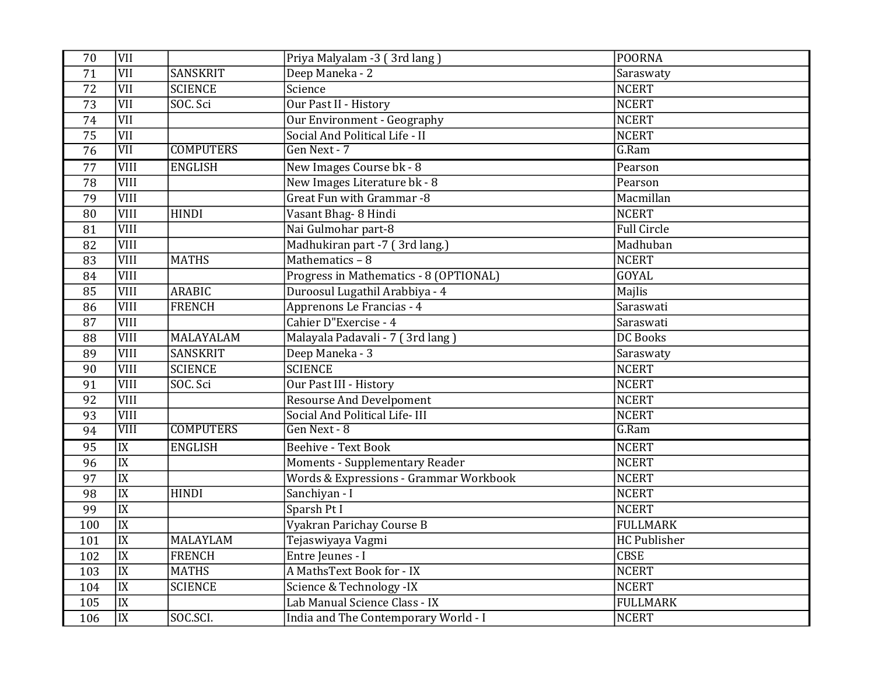| 70              | <b>VII</b>      |                  | Priya Malyalam -3 (3rd lang)           | <b>POORNA</b>      |
|-----------------|-----------------|------------------|----------------------------------------|--------------------|
| $\overline{71}$ | VII             | <b>SANSKRIT</b>  | Deep Maneka - 2                        | Saraswaty          |
| $\overline{72}$ | VII             | <b>SCIENCE</b>   | Science                                | <b>NCERT</b>       |
| 73              | VII             | SOC. Sci         | Our Past II - History                  | <b>NCERT</b>       |
| 74              | VII             |                  | Our Environment - Geography            | <b>NCERT</b>       |
| 75              | VII             |                  | Social And Political Life - II         | <b>NCERT</b>       |
| $\overline{76}$ | VII             | <b>COMPUTERS</b> | Gen Next - 7                           | G.Ram              |
| 77              | <b>VIII</b>     | <b>ENGLISH</b>   | New Images Course bk - 8               | Pearson            |
| 78              | <b>VIII</b>     |                  | New Images Literature bk - 8           | Pearson            |
| 79              | VIII            |                  | Great Fun with Grammar -8              | Macmillan          |
| 80              | VIII            | <b>HINDI</b>     | Vasant Bhag- 8 Hindi                   | <b>NCERT</b>       |
| 81              | VIII            |                  | Nai Gulmohar part-8                    | <b>Full Circle</b> |
| 82              | VIII            |                  | Madhukiran part -7 (3rd lang.)         | Madhuban           |
| 83              | <b>VIII</b>     | <b>MATHS</b>     | Mathematics - 8                        | <b>NCERT</b>       |
| 84              | VIII            |                  | Progress in Mathematics - 8 (OPTIONAL) | <b>GOYAL</b>       |
| 85              | VIII            | <b>ARABIC</b>    | Duroosul Lugathil Arabbiya - 4         | Majlis             |
| 86              | <b>VIII</b>     | <b>FRENCH</b>    | Apprenons Le Francias - 4              | Saraswati          |
| 87              | VIII            |                  | Cahier D"Exercise - 4                  | Saraswati          |
| 88              | VIII            | MALAYALAM        | Malayala Padavali - 7 (3rd lang)       | <b>DC</b> Books    |
| 89              | <b>VIII</b>     | <b>SANSKRIT</b>  | Deep Maneka - 3                        | Saraswaty          |
| 90              | VIII            | <b>SCIENCE</b>   | <b>SCIENCE</b>                         | <b>NCERT</b>       |
| 91              | VIII            | SOC. Sci         | Our Past III - History                 | <b>NCERT</b>       |
| 92              | <b>VIII</b>     |                  | <b>Resourse And Develpoment</b>        | <b>NCERT</b>       |
| 93              | VIII            |                  | Social And Political Life-III          | <b>NCERT</b>       |
| 94              | VIII            | <b>COMPUTERS</b> | Gen Next - 8                           | G.Ram              |
| 95              | IX              | <b>ENGLISH</b>   | Beehive - Text Book                    | <b>NCERT</b>       |
| 96              | $\overline{IX}$ |                  | <b>Moments - Supplementary Reader</b>  | <b>NCERT</b>       |
| $\overline{97}$ | $\overline{IX}$ |                  | Words & Expressions - Grammar Workbook | <b>NCERT</b>       |
| 98              | $\overline{IX}$ | <b>HINDI</b>     | Sanchiyan - I                          | <b>NCERT</b>       |
| 99              | $\overline{IX}$ |                  | Sparsh Pt I                            | <b>NCERT</b>       |
| 100             | IX              |                  | Vyakran Parichay Course B              | <b>FULLMARK</b>    |
| 101             | IX              | <b>MALAYLAM</b>  | Tejaswiyaya Vagmi                      | HC Publisher       |
| 102             | $\overline{IX}$ | <b>FRENCH</b>    | Entre Jeunes - I                       | <b>CBSE</b>        |
| 103             | $\overline{IX}$ | <b>MATHS</b>     | A MathsText Book for - IX              | <b>NCERT</b>       |
| 104             | $\overline{IX}$ | <b>SCIENCE</b>   | Science & Technology -IX               | <b>NCERT</b>       |
| 105             | $\overline{IX}$ |                  | Lab Manual Science Class - IX          | <b>FULLMARK</b>    |
| 106             | $\overline{IX}$ | SOC.SCI.         | India and The Contemporary World - I   | <b>NCERT</b>       |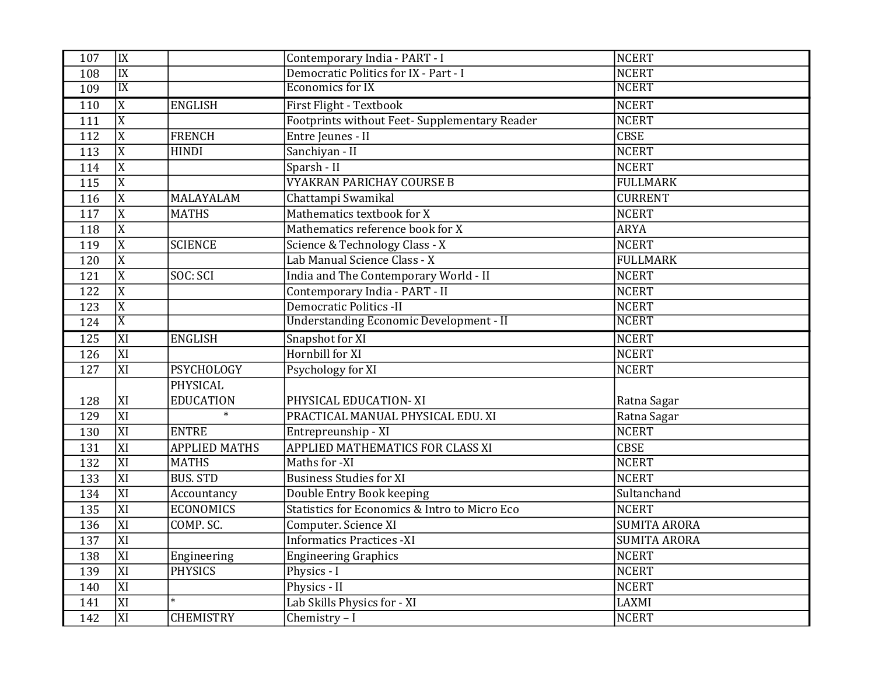| 107              | IX              |                      | Contemporary India - PART - I                  | NCERT               |
|------------------|-----------------|----------------------|------------------------------------------------|---------------------|
| 108              | IX              |                      | Democratic Politics for IX - Part - I          | <b>NCERT</b>        |
| 109              | $\overline{IX}$ |                      | <b>Economics for IX</b>                        | <b>NCERT</b>        |
| 110              | $\overline{X}$  | <b>ENGLISH</b>       | First Flight - Textbook                        | NCERT               |
| 111              | $\overline{X}$  |                      | Footprints without Feet- Supplementary Reader  | <b>NCERT</b>        |
| 112              | $\overline{X}$  | <b>FRENCH</b>        | Entre Jeunes - II                              | <b>CBSE</b>         |
| 113              | $\overline{X}$  | <b>HINDI</b>         | Sanchiyan - II                                 | <b>NCERT</b>        |
| 114              | $\overline{X}$  |                      | Sparsh - II                                    | <b>NCERT</b>        |
| 115              | $\overline{X}$  |                      | <b>VYAKRAN PARICHAY COURSE B</b>               | <b>FULLMARK</b>     |
| 116              | $\overline{X}$  | MALAYALAM            | Chattampi Swamikal                             | <b>CURRENT</b>      |
| 117              | $\overline{X}$  | <b>MATHS</b>         | Mathematics textbook for X                     | <b>NCERT</b>        |
| 118              | $\overline{X}$  |                      | Mathematics reference book for X               | <b>ARYA</b>         |
| 119              | $\overline{X}$  | <b>SCIENCE</b>       | Science & Technology Class - X                 | <b>NCERT</b>        |
| 120              | $\overline{X}$  |                      | Lab Manual Science Class - X                   | <b>FULLMARK</b>     |
| 121              | $\overline{X}$  | SOC: SCI             | India and The Contemporary World - II          | <b>NCERT</b>        |
| 122              | $\overline{X}$  |                      | Contemporary India - PART - II                 | <b>NCERT</b>        |
| 123              | $\overline{X}$  |                      | Democratic Politics -II                        | <b>NCERT</b>        |
| 124              | $\overline{X}$  |                      | <b>Understanding Economic Development - II</b> | <b>NCERT</b>        |
| 125              | $\overline{X}$  | <b>ENGLISH</b>       | Snapshot for XI                                | <b>NCERT</b>        |
| 126              | XI              |                      | Hornbill for XI                                | NCERT               |
| $\overline{127}$ | XI              | <b>PSYCHOLOGY</b>    | Psychology for XI                              | <b>NCERT</b>        |
|                  |                 | <b>PHYSICAL</b>      |                                                |                     |
| 128              | XI              | <b>EDUCATION</b>     | PHYSICAL EDUCATION-XI                          | Ratna Sagar         |
| 129              | XI              | $\ast$               | PRACTICAL MANUAL PHYSICAL EDU. XI              | Ratna Sagar         |
| 130              | XI              | <b>ENTRE</b>         | Entrepreunship - XI                            | <b>NCERT</b>        |
| 131              | XI              | <b>APPLIED MATHS</b> | APPLIED MATHEMATICS FOR CLASS XI               | <b>CBSE</b>         |
| 132              | $\overline{XI}$ | <b>MATHS</b>         | Maths for -XI                                  | <b>NCERT</b>        |
| 133              | XI              | <b>BUS. STD</b>      | <b>Business Studies for XI</b>                 | <b>NCERT</b>        |
| 134              | XI              | Accountancy          | Double Entry Book keeping                      | Sultanchand         |
| 135              | XI              | <b>ECONOMICS</b>     | Statistics for Economics & Intro to Micro Eco  | <b>NCERT</b>        |
| 136              | XI              | COMP. SC.            | Computer. Science XI                           | <b>SUMITA ARORA</b> |
| 137              | XI              |                      | <b>Informatics Practices -XI</b>               | <b>SUMITA ARORA</b> |
| 138              | XI              | Engineering          | <b>Engineering Graphics</b>                    | <b>NCERT</b>        |
| 139              | XI              | <b>PHYSICS</b>       | Physics - I                                    | <b>NCERT</b>        |
| 140              | XI              |                      | Physics - II                                   | <b>NCERT</b>        |
| 141              | XI              |                      | Lab Skills Physics for - XI                    | LAXMI               |
| 142              | XI              | <b>CHEMISTRY</b>     | Chemistry - I                                  | NCERT               |